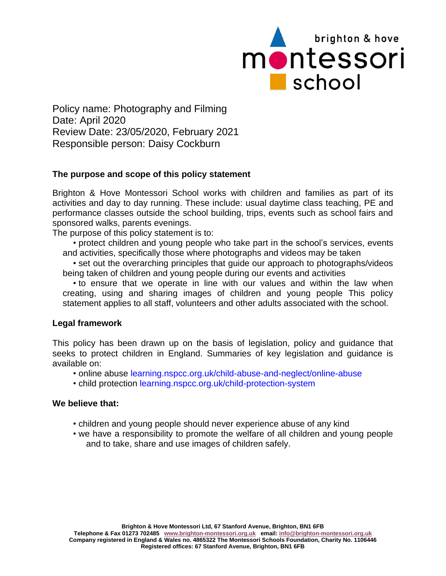

Policy name: Photography and Filming Date: April 2020 Review Date: 23/05/2020, February 2021 Responsible person: Daisy Cockburn

## **The purpose and scope of this policy statement**

Brighton & Hove Montessori School works with children and families as part of its activities and day to day running. These include: usual daytime class teaching, PE and performance classes outside the school building, trips, events such as school fairs and sponsored walks, parents evenings.

The purpose of this policy statement is to:

• protect children and young people who take part in the school's services, events and activities, specifically those where photographs and videos may be taken

• set out the overarching principles that guide our approach to photographs/videos being taken of children and young people during our events and activities

• to ensure that we operate in line with our values and within the law when creating, using and sharing images of children and young people This policy statement applies to all staff, volunteers and other adults associated with the school.

## **Legal framework**

This policy has been drawn up on the basis of legislation, policy and guidance that seeks to protect children in England. Summaries of key legislation and guidance is available on:

- online abuse learning.nspcc.org.uk/child-abuse-and-neglect/online-abuse
- child protection learning.nspcc.org.uk/child-protection-system

## **We believe that:**

- children and young people should never experience abuse of any kind
- we have a responsibility to promote the welfare of all children and young people and to take, share and use images of children safely.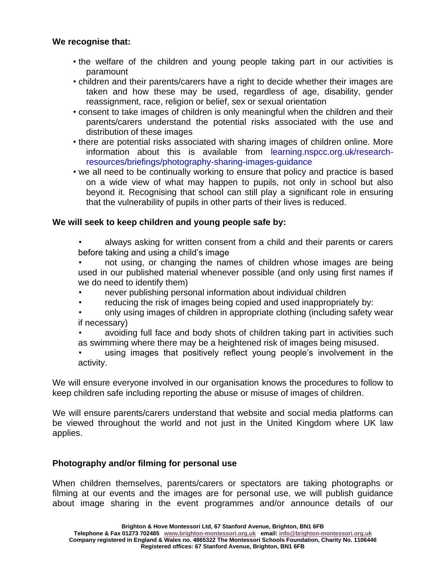## **We recognise that:**

- the welfare of the children and young people taking part in our activities is paramount
- children and their parents/carers have a right to decide whether their images are taken and how these may be used, regardless of age, disability, gender reassignment, race, religion or belief, sex or sexual orientation
- consent to take images of children is only meaningful when the children and their parents/carers understand the potential risks associated with the use and distribution of these images
- there are potential risks associated with sharing images of children online. More information about this is available from learning.nspcc.org.uk/researchresources/briefings/photography-sharing-images-guidance
- we all need to be continually working to ensure that policy and practice is based on a wide view of what may happen to pupils, not only in school but also beyond it. Recognising that school can still play a significant role in ensuring that the vulnerability of pupils in other parts of their lives is reduced.

## **We will seek to keep children and young people safe by:**

- always asking for written consent from a child and their parents or carers before taking and using a child's image
- not using, or changing the names of children whose images are being used in our published material whenever possible (and only using first names if we do need to identify them)
- never publishing personal information about individual children
- reducing the risk of images being copied and used inappropriately by:
- only using images of children in appropriate clothing (including safety wear if necessary)
- avoiding full face and body shots of children taking part in activities such as swimming where there may be a heightened risk of images being misused.
- using images that positively reflect young people's involvement in the activity.

We will ensure everyone involved in our organisation knows the procedures to follow to keep children safe including reporting the abuse or misuse of images of children.

We will ensure parents/carers understand that website and social media platforms can be viewed throughout the world and not just in the United Kingdom where UK law applies.

# **Photography and/or filming for personal use**

When children themselves, parents/carers or spectators are taking photographs or filming at our events and the images are for personal use, we will publish guidance about image sharing in the event programmes and/or announce details of our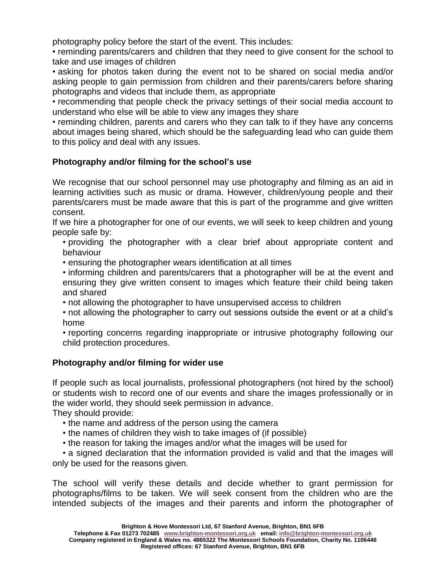photography policy before the start of the event. This includes:

• reminding parents/carers and children that they need to give consent for the school to take and use images of children

• asking for photos taken during the event not to be shared on social media and/or asking people to gain permission from children and their parents/carers before sharing photographs and videos that include them, as appropriate

• recommending that people check the privacy settings of their social media account to understand who else will be able to view any images they share

• reminding children, parents and carers who they can talk to if they have any concerns about images being shared, which should be the safeguarding lead who can guide them to this policy and deal with any issues.

## **Photography and/or filming for the school's use**

We recognise that our school personnel may use photography and filming as an aid in learning activities such as music or drama. However, children/young people and their parents/carers must be made aware that this is part of the programme and give written consent.

If we hire a photographer for one of our events, we will seek to keep children and young people safe by:

• providing the photographer with a clear brief about appropriate content and behaviour

- ensuring the photographer wears identification at all times
- informing children and parents/carers that a photographer will be at the event and ensuring they give written consent to images which feature their child being taken and shared

• not allowing the photographer to have unsupervised access to children

• not allowing the photographer to carry out sessions outside the event or at a child's home

• reporting concerns regarding inappropriate or intrusive photography following our child protection procedures.

# **Photography and/or filming for wider use**

If people such as local journalists, professional photographers (not hired by the school) or students wish to record one of our events and share the images professionally or in the wider world, they should seek permission in advance.

They should provide:

- the name and address of the person using the camera
- the names of children they wish to take images of (if possible)
- the reason for taking the images and/or what the images will be used for

• a signed declaration that the information provided is valid and that the images will only be used for the reasons given.

The school will verify these details and decide whether to grant permission for photographs/films to be taken. We will seek consent from the children who are the intended subjects of the images and their parents and inform the photographer of